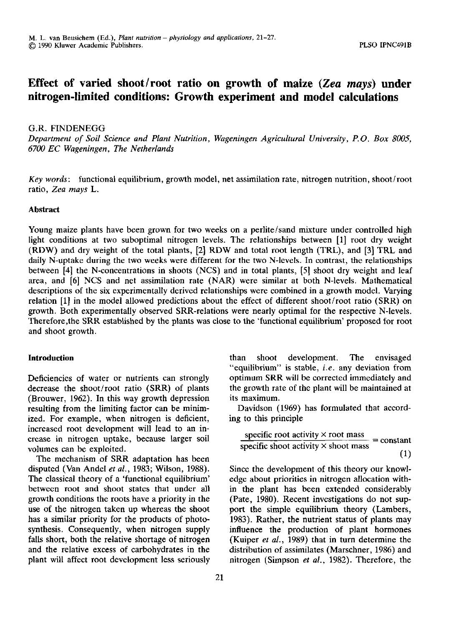# Effect of varied shoot/root ratio on growth of maize *(Zea mays)* under nitrogen-limited conditions: Growth experiment and model calculations

## G.R. FINDENEGG

*Department of Soil Science and Plant Nutrition, Wageningen Agricultural University, P.O. Box 8005, 6700 EC Wageningen, The Netherlands* 

*Key words:* functional equilibrium, growth model, net assimilation rate, nitrogen nutrition, shoot /root ratio, *Zea mays* L.

## **Abstract**

Young maize plants have been grown for two weeks on a perlite/sand mixture under controlled high light conditions at two suboptimal nitrogen levels. The relationships between [1] root dry weight (RDW) and dry weight of the total plants, [2] RDW and total root length (TRL), and [3] TRL and daily N-uptake during the two weeks were different for the two N-levels. In contrast, the relationships between [4] the N-concentrations in shoots (NCS) and in total plants, [5] shoot dry weight and leaf area, and [6] NCS and net assimilation rate (NAR) were similar at both N-levels. Mathematical descriptions of the six experimentally derived relationships were combined in a growth model. Varying relation [1] in the model allowed predictions about the effect of different shoot /root ratio (SRR) on growth. Both experimentally observed SRR-relations were nearly optimal for the respective N-levels. Therefore,the SRR established by the plants was close to the 'functional equilibrium' proposed for root and shoot growth.

#### **Introduction**

Deficiencies of water or nutrients can strongly decrease the shoot/root ratio (SRR) of plants (Brouwer, 1962). In this way growth depression resulting from the limiting factor can be minimized. For example, when nitrogen is deficient, increased root development will lead to an increase in nitrogen uptake, because larger soil volumes can be exploited.

The mechanism of SRR adaptation has been disputed (Van Andel *et al,* 1983; Wilson, 1988). The classical theory of a 'functional equilibrium' between root and shoot states that under all growth conditions the roots have a priority in the use of the nitrogen taken up whereas the shoot has a similar priority for the products of photosynthesis. Consequently, when nitrogen supply falls short, both the relative shortage of nitrogen and the relative excess of carbohydrates in the plant will affect root development less seriously

21

than shoot development. The envisaged "equilibrium" is stable, *i.e.* any deviation from optimum SRR will be corrected immediately and the growth rate of the plant will be maintained at its maximum.

Davidson (1969) has formulated that according to this principle

specific root activity 
$$
\times
$$
 root mass  
specific shoot activity  $\times$  shoot mass = constant  
(1)

Since the development of this theory our knowledge about priorities in nitrogen allocation within the plant has been extended considerably (Pate, 1980). Recent investigations do not support the simple equilibrium theory (Lambers, 1983). Rather, the nutrient status of plants may influence the production of plant hormones (Kuiper *et al.,* 1989) that in turn determine the distribution of assimilates (Marschner, 1986) and nitrogen (Simpson *et al.,* 1982). Therefore, the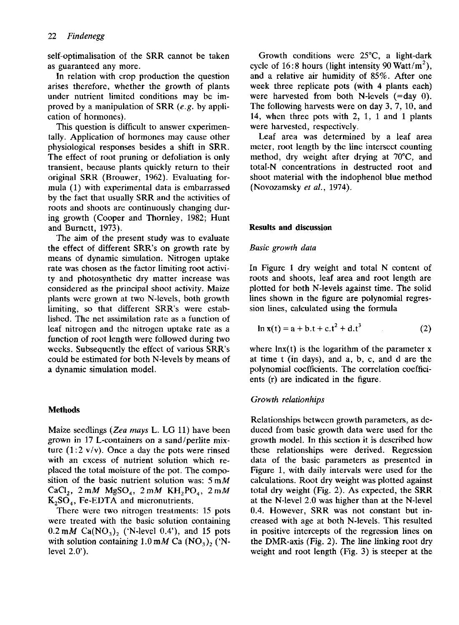self-optimalisation of the SRR cannot be taken as guaranteed any more.

In relation with crop production the question arises therefore, whether the growth of plants under nutrient limited conditions may be improved by a manipulation of SRR (e.g. by application of hormones).

This question is difficult to answer experimentally. Application of hormones may cause other physiological responses besides a shift in SRR. The effect of root pruning or defoliation is only transient, because plants quickly return to their original SRR (Brouwer, 1962). Evaluating formula (1) with experimental data is embarrassed by the fact that usually SRR and the activities of roots and shoots are continuously changing during growth (Cooper and Thornley, 1982; Hunt and Burnett, 1973).

The aim of the present study was to evaluate the effect of different SRR's on growth rate by means of dynamic simulation. Nitrogen uptake rate was chosen as the factor limiting root activity and photosynthetic dry matter increase was considered as the principal shoot activity. Maize plants were grown at two N-levels, both growth limiting, so that different SRR's were established. The net assimilation rate as a function of leaf nitrogen and the nitrogen uptake rate as a function of root length were followed during two weeks. Subsequently the effect of various SRR's could be estimated for both N-levels by means of a dynamic simulation model.

# **Methods**

Maize seedlings *(Zea mays* L. LG 11) have been grown in 17 L-containers on a sand/perlite mixture  $(1:2 \text{ v/v})$ . Once a day the pots were rinsed with an excess of nutrient solution which replaced the total moisture of the pot. The composition of the basic nutrient solution was:  $5 \text{ m}$ CaCl<sub>2</sub>, 2 mM MgSO<sub>4</sub>, 2 mM KH<sub>2</sub>PO<sub>4</sub>, 2 mM  $K_2SO_4$ , Fe-EDTA and micronutrients.

There were two nitrogen treatments: 15 pots were treated with the basic solution containing  $0.2 \text{ m}M \text{ Ca}(\text{NO}_3)_{2}$  ('N-level 0.4'), and 15 pots with solution containing  $1.0 \text{ m}M$  Ca (NO<sub>3</sub>), ('Nlevel 2.0').

Growth conditions were 25°C, a light-dark cycle of 16:8 hours (light intensity 90 Watt/ and a relative air humidity of 85%. After one week three replicate pots (with 4 plants each) were harvested from both N-levels (=day 0). The following harvests were on day 3, 7, 10, and 14, when three pots with 2, 1, 1 and 1 plants were harvested, respectively.

Leaf area was determined by a leaf area meter, root length by the line intersect counting method, dry weight after drying at 70°C, and total-N concentrations in destructed root and shoot material with the indophenol blue method (Novozamsky *et al.,* 1974).

# **Results and discussion**

# *Basic growth data*

In Figure 1 dry weight and total N content of roots and shoots, leaf area and root length are plotted for both N-levels against time. The solid lines shown in the figure are polynomial regression lines, calculated using the formula

$$
\ln x(t) = a + b \cdot t + c \cdot t^2 + d \cdot t^3 \tag{2}
$$

where  $ln(x)$  is the logarithm of the parameter x at time t (in days), and a, b, c, and d are the polynomial coefficients. The correlation coefficients (r) are indicated in the figure.

# *Growth relationhips*

Relationships between growth parameters, as deduced from basic growth data were used for the growth model. In this section it is described how these relationships were derived. Regression data of the basic parameters as presented in Figure 1, with daily intervals were used for the calculations. Root dry weight was plotted against total dry weight (Fig. 2). As expected, the SRR at the N-level 2.0 was higher than at the N-level 0.4. However, SRR was not constant but increased with age at both N-levels. This resulted in positive intercepts of the regression lines on the DMR-axis (Fig. 2). The line linking root dry weight and root length (Fig. 3) is steeper at the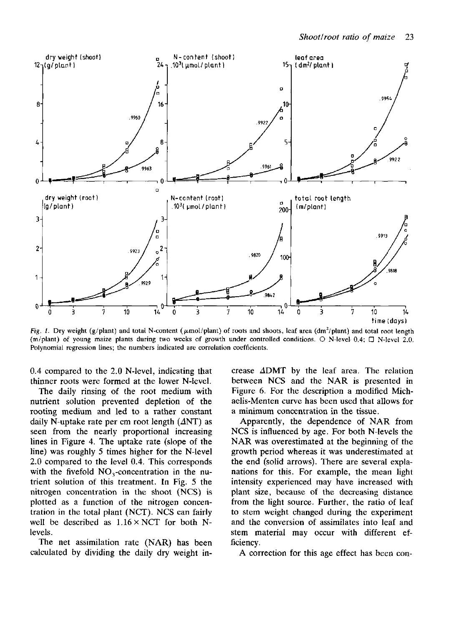

*Fig. 1.* Dry weight (g/plant) and total N-content ( $\mu$ mol/plant) of roots and shoots, leaf area (dm<sup>2</sup>/plant) and tot (m/plant) of young maize plants during two weeks of growth under controlled conditions.  $\bigcirc$  N-level 0.4;  $\bigcirc$  N-level 2.0. Polynomial regression lines; the numbers indicated are correlation coefficients.

0.4 compared to the 2.0 N-level, indicating that thinner roots were formed at the lower N-level.

The daily rinsing of the root medium with nutrient solution prevented depletion of the rooting medium and led to a rather constant daily N-uptake rate per cm root length  $(ΔNT)$  as seen from the nearly proportional increasing lines in Figure 4. The uptake rate (slope of the line) was roughly 5 times higher for the N-level 2.0 compared to the level 0.4. This corresponds with the fivefold  $NO<sub>3</sub>$ -concentration in the nutrient solution of this treatment. In Fig. 5 the nitrogen concentration in the shoot (NCS) is plotted as a function of the nitrogen concentration in the total plant (NCT). NCS can fairly well be described as  $1.16 \times NCT$  for both Nlevels.

The net assimilation rate (NAR) has been calculated by dividing the daily dry weight increase *ADMT* by the leaf area. The relation between NCS and the NAR is presented in Figure 6. For the description a modified Michaelis-Menten curve has been used that allows for a minimum concentration in the tissue.

Apparently, the dependence of NAR from NCS is influenced by age. For both N-levels the NAR was overestimated at the beginning of the growth period whereas it was underestimated at the end (solid arrows). There are several explanations for this. For example, the mean light intensity experienced may have increased with plant size, because of the decreasing distance from the light source. Further, the ratio of leaf to stem weight changed during the experiment and the conversion of assimilates into leaf and stem material may occur with different efficiency.

A correction for this age effect has been con-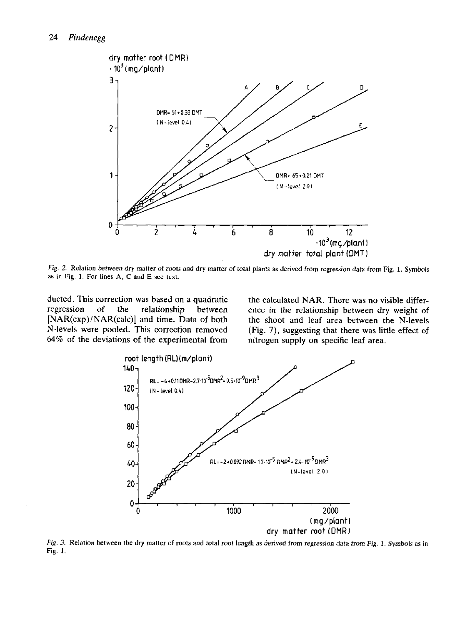

*Fig. 2.* Relation between dry matter of roots and dry matter of total plants as derived from regression data from Fig. 1. Symbols as in Fig. 1. For lines A, C and E see text.

ducted. This correction was based on a quadratic regression of the relationship between [NAR(exp)/NAR(calc)] and time. Data of both N-levels were pooled. This correction removed 64% of the deviations of the experimental from

the calculated NAR. There was no visible difference in the relationship between dry weight of the shoot and leaf area between the N-levels (Fig. 7), suggesting that there was little effect of nitrogen supply on specific leaf area.



*Fig. 3.* Relation between the dry matter of roots and total root length as derived from regression data from Fig. 1. Symbols as in Fig. 1.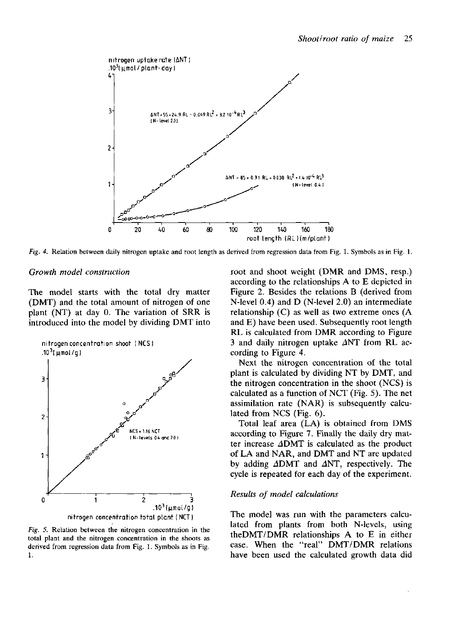

*Fig. 4.* Relation between daily nitrogen uptake and root length as derived from regression data from Fig. 1. Symbols as in Fig. 1.

#### *Growth model construction*

The model starts with the total dry matter (DMT) and the total amount of nitrogen of one plant (NT) at day 0. The variation of SRR is introduced into the model by dividing DMT into



*Fig. 5.* Relation between the nitrogen concentration in the total plant and the nitrogen concentration in the shoots as derived from regression data from Fig. 1. Symbols as in Fig. 1.

root and shoot weight (DMR and DMS, resp.) according to the relationships A to E depicted in Figure 2. Besides the relations B (derived from N-level 0.4) and D (N-level 2.0) an intermediate relationship (C) as well as two extreme ones (A and E) have been used. Subsequently root length RL is calculated from DMR according to Figure 3 and daily nitrogen uptake  $\triangle N$ T from RL according to Figure 4.

Next the nitrogen concentration of the total plant is calculated by dividing NT by DMT, and the nitrogen concentration in the shoot (NCS) is calculated as a function of NCT (Fig. 5). The net assimilation rate (NAR) is subsequently calculated from NCS (Fig. 6).

Total leaf area (LA) is obtained from DMS according to Figure 7. Finally the daily dry matter increase  $\Delta$ DMT is calculated as the product of LA and NAR, and DMT and NT are updated by adding *ADMT* and *ANT,* respectively. The cycle is repeated for each day of the experiment.

#### *Results of model calculations*

The model was run with the parameters calculated from plants from both N-levels, using theDMT/DMR relationships A to E in either case. When the "real" DMT/DMR relations have been used the calculated growth data did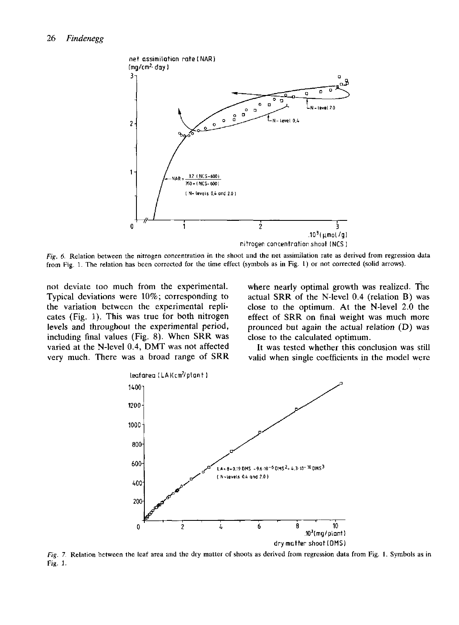

*Fig. 6.* Relation between the nitrogen concentration in the shoot and the net assimilation rate as derived from regression data from Fig. 1. The relation has been corrected tor the time effect (symbols as in Fig. 1) or not corrected (solid arrows).

not deviate too much from the experimental. Typical deviations were 10%; corresponding to the variation between the experimental replicates (Fig. 1). This was true for both nitrogen levels and throughout the experimental period, including final values (Fig. 8). When SRR was varied at the N-level 0.4, DMT was not affected very much. There was a broad range of SRR where nearly optimal growth was realized. The actual SRR of the N-level 0.4 (relation B) was close to the optimum. At the N-level 2.0 the effect of SRR on final weight was much more prounced but again the actual relation (D) was close to the calculated optimum.

It was tested whether this conclusion was still valid when single coefficients in the model were



*Fig.* 7. Relation between the leaf area and the dry matter of shoots as derived from regression data from Fig. 1. Symbols as in Fig. 1.